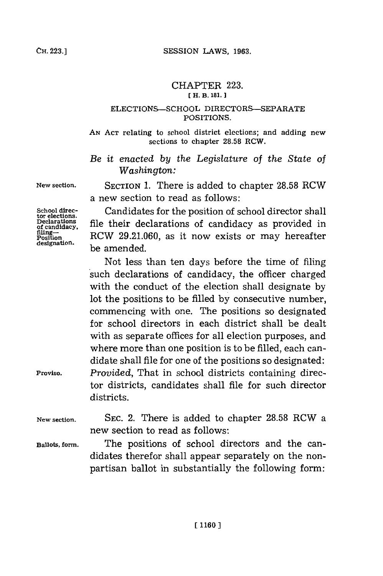## CHAPTER **223. [ H. B. 181.]**

## ELECTIONS-SCHOOL DIRECTORS-SEPARATE **POSITIONS.**

**AN ACT** relating to school district elections; and adding new **sections to chapter 28.58 RCW.**

*Be it enacted by the Legislature of the* State *of Washington:*

**New section.** SECTION **1.** There is added to chapter **28.58** RCW

School direc- **Candidates for the position of school director shall** School directions.<br> **tor elections.**<br> **Declarations**<br>
<u>of</u> candidacy, file their declarations of candidacy as provided is **Poition** RCW **29.21.060,** as it now exists or may hereafter **designations**, he their designation.<br> **designation.**<br> **designation.**<br> **be amended** 

Not less than ten days before the time of filing such declarations of candidacy, the officer charged with the conduct of the election shall designate **by** lot the positions to be filled **by** consecutive number, commencing with one. The positions so designated for school directors in each district shall be dealt with as separate offices for all election purposes, and where more than one position is to be filled, each candidate shall file for one of the positions so designated: **Proviso.** *Provided,* That in school districts containing director districts, candidates shall file for such director districts.

**New section. SEC.** 2. There is added to chapter **28.58** RCW a new section to read as follows:

**Ballots, form.** The positions of school directors and the candidates therefor shall appear separately on the nonpartisan ballot in substantially the following form:

a new section to read as follows: